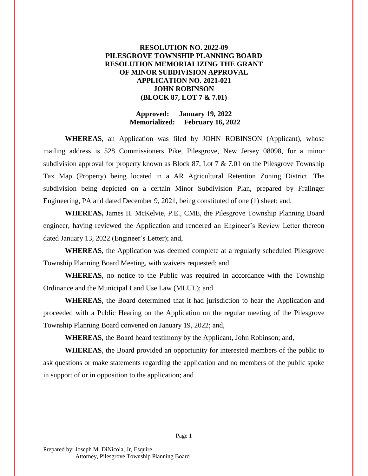## **RESOLUTION NO. 2022-09 PILESGROVE TOWNSHIP PLANNING BOARD RESOLUTION MEMORIALIZING THE GRANT OF MINOR SUBDIVISION APPROVAL APPLICATION NO. 2021-021 JOHN ROBINSON (BLOCK 87, LOT 7 & 7.01)**

#### **Approved: January 19, 2022 Memorialized: February 16, 2022**

**WHEREAS**, an Application was filed by JOHN ROBINSON (Applicant), whose mailing address is 528 Commissioners Pike, Pilesgrove, New Jersey 08098, for a minor subdivision approval for property known as Block 87, Lot 7 & 7.01 on the Pilesgrove Township Tax Map (Property) being located in a AR Agricultural Retention Zoning District. The subdivision being depicted on a certain Minor Subdivision Plan, prepared by Fralinger Engineering, PA and dated December 9, 2021, being constituted of one (1) sheet; and,

**WHEREAS,** James H. McKelvie, P.E., CME, the Pilesgrove Township Planning Board engineer, having reviewed the Application and rendered an Engineer's Review Letter thereon dated January 13, 2022 (Engineer's Letter); and,

**WHEREAS**, the Application was deemed complete at a regularly scheduled Pilesgrove Township Planning Board Meeting, with waivers requested; and

**WHEREAS**, no notice to the Public was required in accordance with the Township Ordinance and the Municipal Land Use Law (MLUL); and

**WHEREAS**, the Board determined that it had jurisdiction to hear the Application and proceeded with a Public Hearing on the Application on the regular meeting of the Pilesgrove Township Planning Board convened on January 19, 2022; and,

**WHEREAS**, the Board heard testimony by the Applicant, John Robinson; and,

**WHEREAS**, the Board provided an opportunity for interested members of the public to ask questions or make statements regarding the application and no members of the public spoke in support of or in opposition to the application; and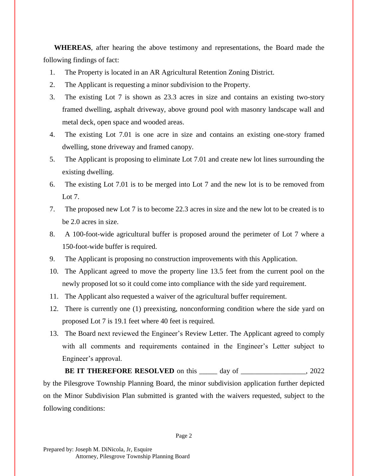**WHEREAS**, after hearing the above testimony and representations, the Board made the following findings of fact:

- 1. The Property is located in an AR Agricultural Retention Zoning District.
- 2. The Applicant is requesting a minor subdivision to the Property.
- 3. The existing Lot 7 is shown as 23.3 acres in size and contains an existing two-story framed dwelling, asphalt driveway, above ground pool with masonry landscape wall and metal deck, open space and wooded areas.
- 4. The existing Lot 7.01 is one acre in size and contains an existing one-story framed dwelling, stone driveway and framed canopy.
- 5. The Applicant is proposing to eliminate Lot 7.01 and create new lot lines surrounding the existing dwelling.
- 6. The existing Lot 7.01 is to be merged into Lot 7 and the new lot is to be removed from Lot 7.
- 7. The proposed new Lot 7 is to become 22.3 acres in size and the new lot to be created is to be 2.0 acres in size.
- 8. A 100-foot-wide agricultural buffer is proposed around the perimeter of Lot 7 where a 150-foot-wide buffer is required.
- 9. The Applicant is proposing no construction improvements with this Application.
- 10. The Applicant agreed to move the property line 13.5 feet from the current pool on the newly proposed lot so it could come into compliance with the side yard requirement.
- 11. The Applicant also requested a waiver of the agricultural buffer requirement.
- 12. There is currently one (1) preexisting, nonconforming condition where the side yard on proposed Lot 7 is 19.1 feet where 40 feet is required.
- 13. The Board next reviewed the Engineer's Review Letter. The Applicant agreed to comply with all comments and requirements contained in the Engineer's Letter subject to Engineer's approval.

**BE IT THEREFORE RESOLVED** on this \_\_\_\_\_\_\_ day of \_\_\_\_\_\_\_\_\_\_\_\_\_\_, 2022 by the Pilesgrove Township Planning Board, the minor subdivision application further depicted on the Minor Subdivision Plan submitted is granted with the waivers requested, subject to the following conditions: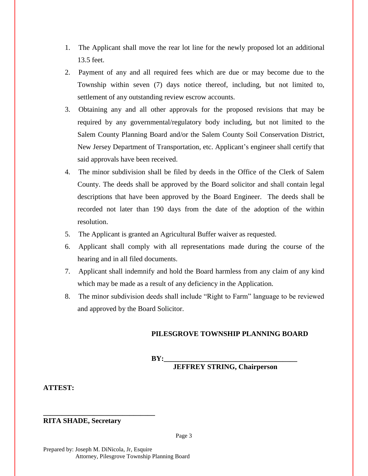- 1. The Applicant shall move the rear lot line for the newly proposed lot an additional 13.5 feet.
- 2. Payment of any and all required fees which are due or may become due to the Township within seven (7) days notice thereof, including, but not limited to, settlement of any outstanding review escrow accounts.
- 3. Obtaining any and all other approvals for the proposed revisions that may be required by any governmental/regulatory body including, but not limited to the Salem County Planning Board and/or the Salem County Soil Conservation District, New Jersey Department of Transportation, etc. Applicant's engineer shall certify that said approvals have been received.
- 4. The minor subdivision shall be filed by deeds in the Office of the Clerk of Salem County. The deeds shall be approved by the Board solicitor and shall contain legal descriptions that have been approved by the Board Engineer. The deeds shall be recorded not later than 190 days from the date of the adoption of the within resolution.
- 5. The Applicant is granted an Agricultural Buffer waiver as requested.
- 6. Applicant shall comply with all representations made during the course of the hearing and in all filed documents.
- 7. Applicant shall indemnify and hold the Board harmless from any claim of any kind which may be made as a result of any deficiency in the Application.
- 8. The minor subdivision deeds shall include "Right to Farm" language to be reviewed and approved by the Board Solicitor.

## **PILESGROVE TOWNSHIP PLANNING BOARD**

 $BY:$ 

**JEFFREY STRING, Chairperson**

### **ATTEST:**

# **RITA SHADE, Secretary**

**\_\_\_\_\_\_\_\_\_\_\_\_\_\_\_\_\_\_\_\_\_\_\_\_\_\_\_\_\_\_\_**